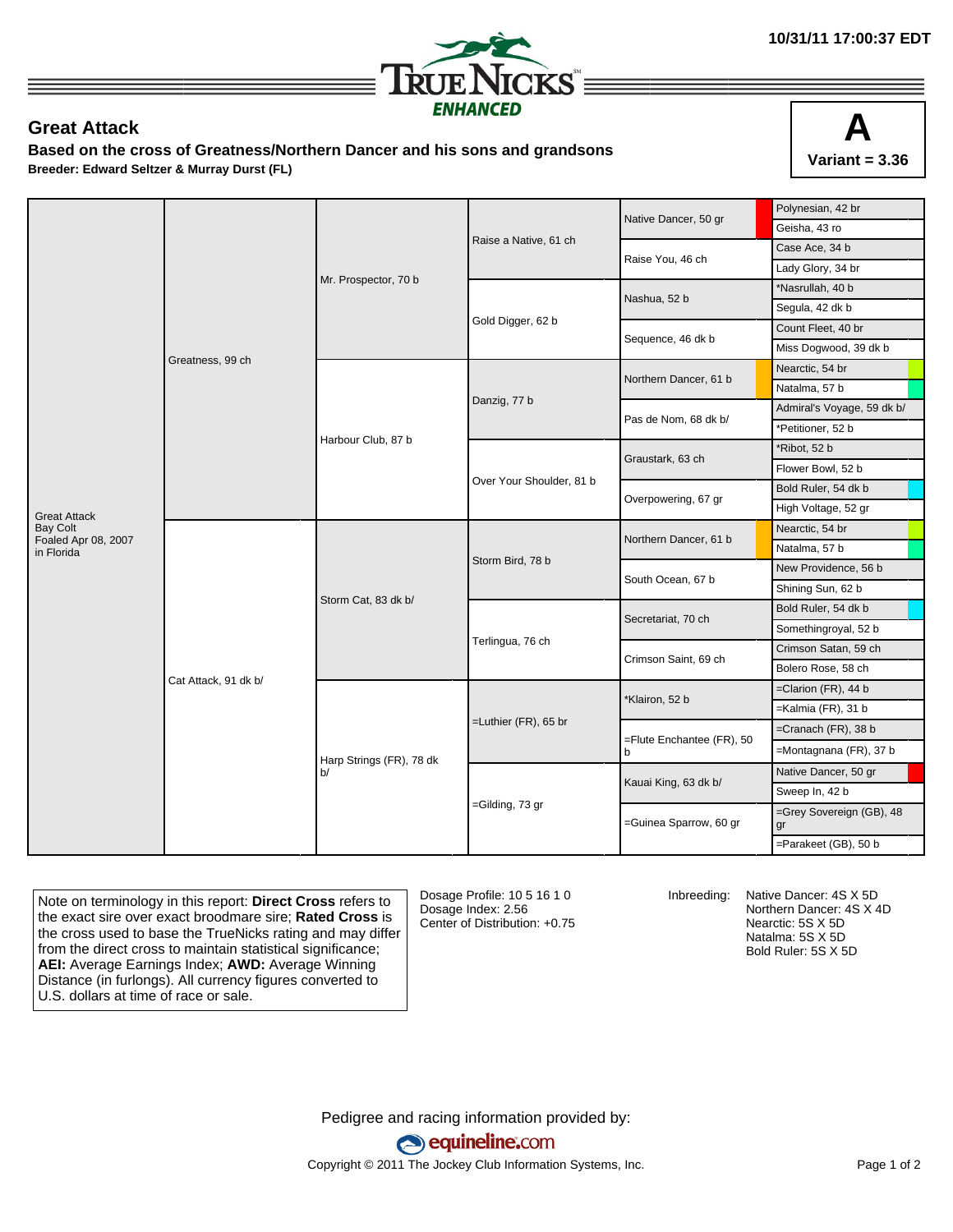

## **Great Attack**

**Based on the cross of Greatness/Northern Dancer and his sons and grandsons Breeder: Edward Seltzer & Murray Durst (FL)**



|                                        |                      |                                |                          | Native Dancer, 50 gr           | Polynesian, 42 br              |
|----------------------------------------|----------------------|--------------------------------|--------------------------|--------------------------------|--------------------------------|
|                                        | Greatness, 99 ch     | Mr. Prospector, 70 b           |                          |                                | Geisha, 43 ro                  |
|                                        |                      |                                | Raise a Native, 61 ch    | Raise You, 46 ch               | Case Ace, 34 b                 |
|                                        |                      |                                |                          |                                | Lady Glory, 34 br              |
|                                        |                      |                                | Gold Digger, 62 b        | Nashua, 52 b                   | *Nasrullah, 40 b               |
|                                        |                      |                                |                          |                                | Segula, 42 dk b                |
|                                        |                      |                                |                          | Sequence, 46 dk b              | Count Fleet, 40 br             |
|                                        |                      |                                |                          |                                | Miss Dogwood, 39 dk b          |
|                                        |                      | Harbour Club, 87 b             | Danzig, 77 b             | Northern Dancer, 61 b          | Nearctic, 54 br                |
|                                        |                      |                                |                          |                                | Natalma, 57 b                  |
|                                        |                      |                                |                          | Pas de Nom, 68 dk b/           | Admiral's Voyage, 59 dk b/     |
|                                        |                      |                                |                          |                                | *Petitioner, 52 b              |
|                                        |                      |                                | Over Your Shoulder, 81 b | Graustark, 63 ch               | *Ribot, 52 b                   |
|                                        |                      |                                |                          |                                | Flower Bowl, 52 b              |
|                                        |                      |                                |                          | Overpowering, 67 gr            | Bold Ruler, 54 dk b            |
| <b>Great Attack</b>                    |                      |                                |                          |                                | High Voltage, 52 gr            |
| <b>Bay Colt</b><br>Foaled Apr 08, 2007 | Cat Attack, 91 dk b/ | Storm Cat, 83 dk b/            | Storm Bird, 78 b         | Northern Dancer, 61 b          | Nearctic, 54 br                |
| in Florida                             |                      |                                |                          |                                | Natalma, 57 b                  |
|                                        |                      |                                |                          | South Ocean, 67 b              | New Providence, 56 b           |
|                                        |                      |                                |                          |                                | Shining Sun, 62 b              |
|                                        |                      |                                | Terlingua, 76 ch         | Secretariat, 70 ch             | Bold Ruler, 54 dk b            |
|                                        |                      |                                |                          |                                | Somethingroyal, 52 b           |
|                                        |                      |                                |                          | Crimson Saint, 69 ch           | Crimson Satan, 59 ch           |
|                                        |                      |                                |                          |                                | Bolero Rose, 58 ch             |
|                                        |                      | Harp Strings (FR), 78 dk<br>b/ | $=$ Luthier (FR), 65 br  | *Klairon, 52 b                 | $=$ Clarion (FR), 44 b         |
|                                        |                      |                                |                          |                                | $=$ Kalmia (FR), 31 b          |
|                                        |                      |                                |                          | =Flute Enchantee (FR), 50<br>b | $=$ Cranach (FR), 38 b         |
|                                        |                      |                                |                          |                                | =Montagnana (FR), 37 b         |
|                                        |                      |                                | =Gilding, 73 gr          |                                | Native Dancer, 50 gr           |
|                                        |                      |                                |                          | Kauai King, 63 dk b/           | Sweep In, 42 b                 |
|                                        |                      |                                |                          | =Guinea Sparrow, 60 gr         | =Grey Sovereign (GB), 48<br>gr |
|                                        |                      |                                |                          |                                | =Parakeet (GB), 50 b           |

Note on terminology in this report: **Direct Cross** refers to the exact sire over exact broodmare sire; **Rated Cross** is the cross used to base the TrueNicks rating and may differ from the direct cross to maintain statistical significance; **AEI:** Average Earnings Index; **AWD:** Average Winning Distance (in furlongs). All currency figures converted to U.S. dollars at time of race or sale.

Dosage Profile: 10 5 16 1 0 Dosage Index: 2.56 Center of Distribution: +0.75

Inbreeding: Native Dancer: 4S X 5D Northern Dancer: 4S X 4D Nearctic: 5S X 5D Natalma: 5S X 5D Bold Ruler: 5S X 5D

Pedigree and racing information provided by: equineline.com Copyright © 2011 The Jockey Club Information Systems, Inc. example 2012 Page 1 of 2